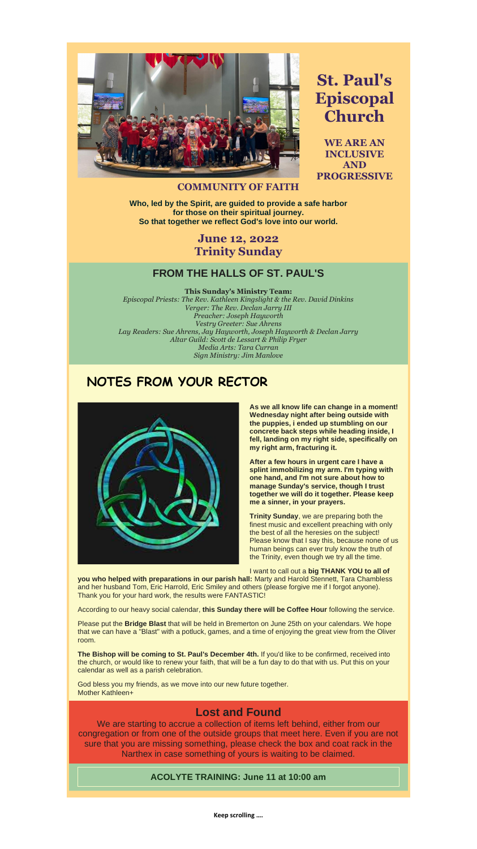**Keep scrolling ….**



**St. Paul's Episcopal Church**

**WE ARE AN INCLUSIVE AND PROGRESSIVE** 

#### **COMMUNITY OF FAITH**

**Who, led by the Spirit, are guided to provide a safe harbor for those on their spiritual journey. So that together we reflect God's love into our world.**

## **June 12, 2022 Trinity Sunday**

#### **FROM THE HALLS OF ST. PAUL'S**

**This Sunday's Ministry Team:**

*Episcopal Priests: The Rev. Kathleen Kingslight & the Rev. David Dinkins Verger: The Rev. Declan Jarry III Preacher: Joseph Hayworth Vestry Greeter: Sue Ahrens Lay Readers: Sue Ahrens, Jay Hayworth, Joseph Hayworth & Declan Jarry Altar Guild: Scott de Lessart & Philip Fryer Media Arts: Tara Curran Sign Ministry: Jim Manlove*

# **NOTES FROM YOUR RECTOR**



**As we all know life can change in a moment! Wednesday night after being outside with the puppies, i ended up stumbling on our concrete back steps while heading inside, I fell, landing on my right side, specifically on my right arm, fracturing it.**

**After a few hours in urgent care I have a splint immobilizing my arm. I'm typing with one hand, and I'm not sure about how to manage Sunday's service, though I trust together we will do it together. Please keep me a sinner, in your prayers.**

**Trinity Sunday**, we are preparing both the finest music and excellent preaching with only the best of all the heresies on the subject! Please know that I say this, because none of us human beings can ever truly know the truth of the Trinity, even though we try all the time.

I want to call out a **big THANK YOU to all of** 

**you who helped with preparations in our parish hall:** Marty and Harold Stennett, Tara Chambless and her husband Tom, Eric Harrold, Eric Smiley and others (please forgive me if I forgot anyone). Thank you for your hard work, the results were FANTASTIC!

According to our heavy social calendar, **this Sunday there will be Coffee Hour** following the service.

Please put the **Bridge Blast** that will be held in Bremerton on June 25th on your calendars. We hope that we can have a "Blast" with a potluck, games, and a time of enjoying the great view from the Oliver room.

**The Bishop will be coming to St. Paul's December 4th.** If you'd like to be confirmed, received into the church, or would like to renew your faith, that will be a fun day to do that with us. Put this on your calendar as well as a parish celebration.

God bless you my friends, as we move into our new future together. Mother Kathleen+

### **Lost and Found**

We are starting to accrue a collection of items left behind, either from our congregation or from one of the outside groups that meet here. Even if you are not sure that you are missing something, please check the box and coat rack in the Narthex in case something of yours is waiting to be claimed.

#### **ACOLYTE TRAINING: June 11 at 10:00 am**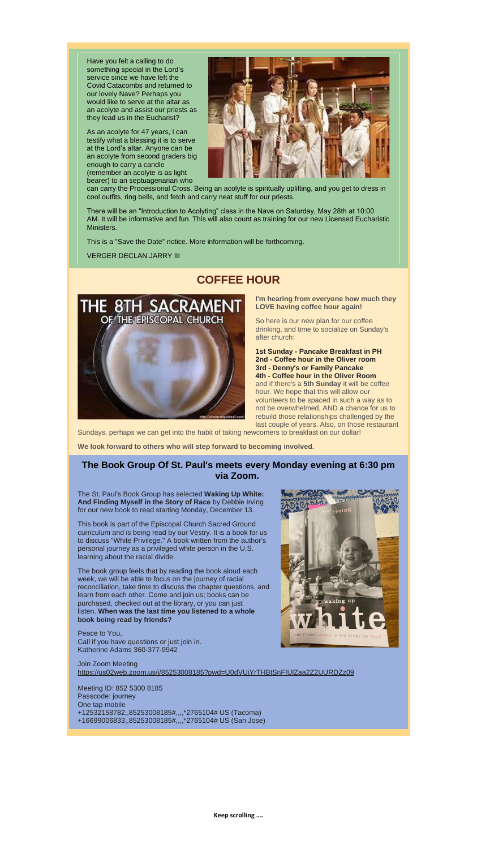Have you felt a calling to do something special in the Lord's service since we have left the Covid Catacombs and returned to our lovely Nave? Perhaps you would like to serve at the altar as an acolyte and assist our priests as they lead us in the Eucharist?

As an acolyte for 47 years, I can testify what a blessing it is to serve at the Lord's altar. Anyone can be an acolyte from second graders big enough to carry a candle (remember an acolyte is as light bearer) to an septuagenarian who



can carry the Processional Cross. Being an acolyte is spiritually uplifting, and you get to dress in cool outfits, ring bells, and fetch and carry neat stuff for our priests.

There will be an "Introduction to Acolyting" class in the Nave on Saturday, May 28th at 10:00 AM. It will be informative and fun. This will also count as training for our new Licensed Eucharistic Ministers.

This is a "Save the Date" notice. More information will be forthcoming.

VERGER DECLAN JARRY III

# **COFFEE HOUR**



**I'm hearing from everyone how much they LOVE having coffee hour again!**

So here is our new plan for our coffee drinking, and time to socialize on Sunday's after church:

**1st Sunday - Pancake Breakfast in PH 2nd - Coffee hour in the Oliver room 3rd - Denny's or Family Pancake 4th - Coffee hour in the Oliver Room** and if there's a **5th Sunday** it will be coffee hour. We hope that this will allow our volunteers to be spaced in such a way as to not be overwhelmed, AND a chance for us to rebuild those relationships challenged by the last couple of years. Also, on those restaurant

Sundays, perhaps we can get into the habit of taking newcomers to breakfast on our dollar!

**We look forward to others who will step forward to becoming involved.**

#### **The Book Group Of St. Paul's meets every Monday evening at 6:30 pm via Zoom.**

The St. Paul's Book Group has selected **Waking Up White: And Finding Myself in the Story of Race** by Debbie Irving for our new book to read starting Monday, December 13.

This book is part of the Episcopal Church Sacred Ground



curriculum and is being read by our Vestry. It is a book for us to discuss "White Privilege." A book written from the author's personal journey as a privileged white person in the U.S. learning about the racial divide.

The book group feels that by reading the book aloud each week, we will be able to focus on the journey of racial reconciliation, take time to discuss the chapter questions, and learn from each other. Come and join us; books can be purchased, checked out at the library, or you can just listen. **When was the last time you listened to a whole book being read by friends?**

Peace to You, Call if you have questions or just join in. Katherine Adams 360-377-9942

Join Zoom Meeting [https://us02web.zoom.us/j/85253008185?pwd=U0dVUjYrTHBtSnFIUlZaa2Z2UURDZz09](https://r20.rs6.net/tn.jsp?f=001smPzftrDGqcFRwaa3NJ8_3k9u2w3tubMRFVwYnM3vX0lTt90D1hyGDMbKUJMpPminrIIA9TX5u7W22w1_dPhhygQmFSsqAK4glJp14TsdLziTjWnuJHYmGVkVakuUKObIA0m_Af7K2qX6aaHH_oSx2NFVVt1oB8shVNdqI0lvm4P0Q5oQz__DDy-7nbvWjhdmmMVCs1H48XeSOo4J-1-tXOc2m24IfNU&c=Sz6pXFn8J9b-FcadEvElUioJ7YKByX6LkgUX8vIvaynQKKWnWSo_5g==&ch=O0Liy_TZjI0pcEB5f8NNIQC8AwgqnJfQ7KROS-Cl7LqLsJCoXvwMsQ==)

Meeting ID: 852 5300 8185 Passcode: journey One tap mobile +12532158782,,85253008185#,,,,\*2765104# US (Tacoma) +16699006833,,85253008185#,,,,\*2765104# US (San Jose)